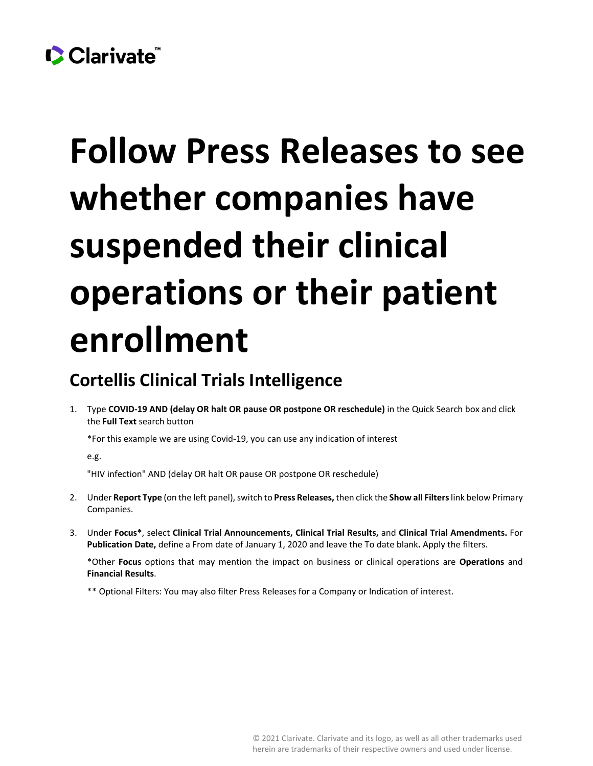## Clarivate

## **Follow Press Releases to see whether companies have suspended their clinical operations or their patient enrollment**

## **Cortellis Clinical Trials Intelligence**

1. Type **COVID-19 AND (delay OR halt OR pause OR postpone OR reschedule)** in the Quick Search box and click the **Full Text** search button

\*For this example we are using Covid-19, you can use any indication of interest

e.g.

"HIV infection" AND (delay OR halt OR pause OR postpone OR reschedule)

- 2. Under **Report Type** (on the left panel), switch to **Press Releases,**then click the **Show all Filters**link below Primary Companies.
- 3. Under **Focus\***, select **Clinical Trial Announcements, Clinical Trial Results,** and **Clinical Trial Amendments.** For **Publication Date,** define a From date of January 1, 2020 and leave the To date blank**.** Apply the filters.

\*Other **Focus** options that may mention the impact on business or clinical operations are **Operations** and **Financial Results**.

\*\* Optional Filters: You may also filter Press Releases for a Company or Indication of interest.